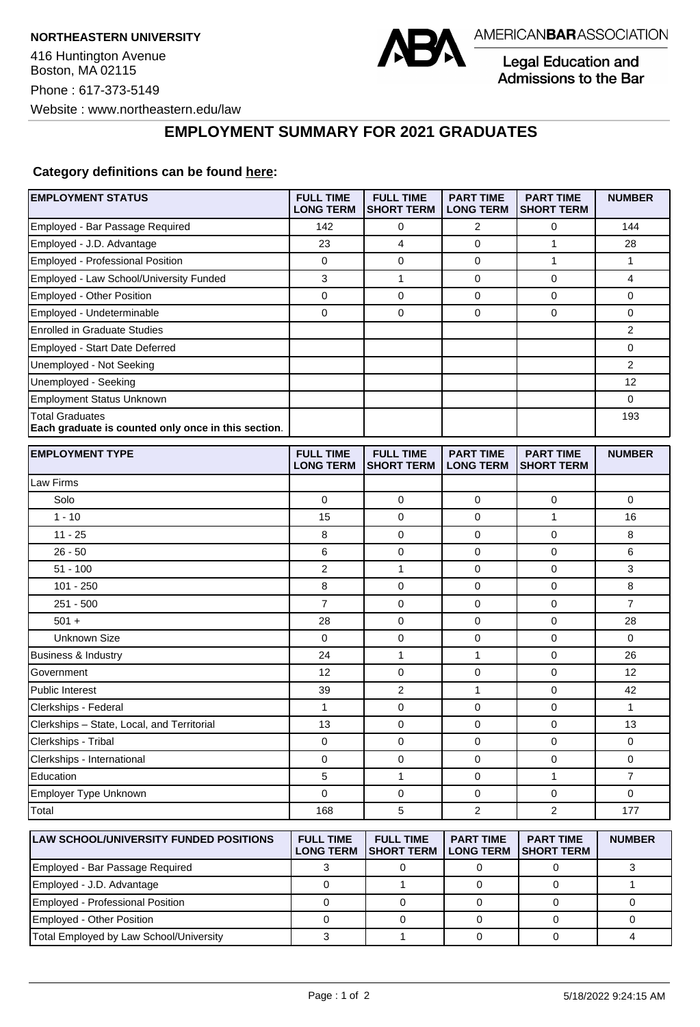

Legal Education and Admissions to the Bar

**EMPLOYMENT SUMMARY FOR 2021 GRADUATES**

## **Category definitions can be found [here:](https://www.americanbar.org/content/dam/aba/administrative/legal_education_and_admissions_to_the_bar/Questionnaires/2021/2022-employment-protocols-for-the-class-of-2021-september-2021.pdf)**

| <b>EMPLOYMENT STATUS</b>                                                      | <b>FULL TIME</b><br><b>LONG TERM</b> | <b>FULL TIME</b><br><b>SHORT TERM</b> | <b>PART TIME</b><br><b>LONG TERM</b> | <b>PART TIME</b><br><b>SHORT TERM</b> | <b>NUMBER</b>  |
|-------------------------------------------------------------------------------|--------------------------------------|---------------------------------------|--------------------------------------|---------------------------------------|----------------|
| Employed - Bar Passage Required                                               | 142                                  | 0                                     | 2                                    | 0                                     | 144            |
| Employed - J.D. Advantage                                                     | 23                                   | 4                                     | 0                                    | $\mathbf{1}$                          | 28             |
| Employed - Professional Position                                              | 0                                    | $\mathbf 0$                           | 0                                    | $\mathbf{1}$                          | $\mathbf{1}$   |
| Employed - Law School/University Funded                                       | 3                                    | $\mathbf{1}$                          | 0                                    | $\mathbf 0$                           | 4              |
| Employed - Other Position                                                     | 0                                    | $\mathbf 0$                           | 0                                    | $\mathbf 0$                           | 0              |
| Employed - Undeterminable                                                     | 0                                    | $\mathbf 0$                           | 0                                    | $\mathbf 0$                           | 0              |
| <b>Enrolled in Graduate Studies</b>                                           |                                      |                                       |                                      |                                       | 2              |
| Employed - Start Date Deferred                                                |                                      |                                       |                                      |                                       | 0              |
| Unemployed - Not Seeking                                                      |                                      |                                       |                                      |                                       | $\overline{2}$ |
| Unemployed - Seeking                                                          |                                      |                                       |                                      |                                       | 12             |
| <b>Employment Status Unknown</b>                                              |                                      |                                       |                                      |                                       | 0              |
| <b>Total Graduates</b><br>Each graduate is counted only once in this section. |                                      |                                       |                                      |                                       | 193            |
| <b>EMPLOYMENT TYPE</b>                                                        | <b>FULL TIME</b><br><b>LONG TERM</b> | <b>FULL TIME</b><br><b>SHORT TERM</b> | <b>PART TIME</b><br><b>LONG TERM</b> | <b>PART TIME</b><br><b>SHORT TERM</b> | <b>NUMBER</b>  |
| Law Firms                                                                     |                                      |                                       |                                      |                                       |                |
| Solo                                                                          | 0                                    | 0                                     | 0                                    | $\mathbf 0$                           | 0              |
| $1 - 10$                                                                      | 15                                   | $\mathbf 0$                           | 0                                    | 1                                     | 16             |
| $11 - 25$                                                                     | 8                                    | $\mathbf 0$                           | 0                                    | $\mathbf 0$                           | 8              |
| $26 - 50$                                                                     | 6                                    | $\mathbf 0$                           | 0                                    | $\mathbf 0$                           | 6              |
| $51 - 100$                                                                    | 2                                    | $\mathbf{1}$                          | $\mathbf 0$                          | $\mathbf 0$                           | 3              |
| $101 - 250$                                                                   | 8                                    | 0                                     | 0                                    | 0                                     | 8              |
| $251 - 500$                                                                   | 7                                    | 0                                     | 0                                    | 0                                     | $\overline{7}$ |
| $501 +$                                                                       | 28                                   | $\mathbf 0$                           | 0                                    | $\mathbf 0$                           | 28             |
| <b>Unknown Size</b>                                                           | 0                                    | 0                                     | 0                                    | $\mathbf 0$                           | 0              |
| Business & Industry                                                           | 24                                   | $\mathbf{1}$                          | 1                                    | 0                                     | 26             |
| Government                                                                    | 12                                   | 0                                     | 0                                    | 0                                     | 12             |
| Public Interest                                                               | 39                                   | 2                                     | $\mathbf{1}$                         | $\mathbf 0$                           | 42             |
| Clerkships - Federal                                                          | 1                                    | $\mathbf 0$                           | 0                                    | $\mathbf 0$                           | $\mathbf{1}$   |
| Clerkships - State, Local, and Territorial                                    | 13                                   | 0                                     | $\mathbf 0$                          | $\mathbf 0$                           | 13             |
| Clerkships - Tribal                                                           | 0                                    | 0                                     | 0                                    | 0                                     | 0              |
| Clerkships - International                                                    | 0                                    | $\mathbf 0$                           | 0                                    | 0                                     | 0              |
| Education                                                                     | 5                                    | 1                                     | 0                                    | $\mathbf{1}$                          | $\overline{7}$ |
| Employer Type Unknown                                                         | 0                                    | 0                                     | 0                                    | 0                                     | 0              |
| Total                                                                         | 168                                  | 5                                     | 2                                    | 2                                     | 177            |
| <b>LAW SCHOOL/UNIVERSITY FUNDED POSITIONS</b>                                 | <b>FULL TIME</b><br><b>LONG TERM</b> | <b>FULL TIME</b><br><b>SHORT TERM</b> | <b>PART TIME</b><br><b>LONG TERM</b> | <b>PART TIME</b><br><b>SHORT TERM</b> | <b>NUMBER</b>  |
| <b>Employed - Bar Passage Required</b>                                        | $\mathcal{R}$                        | $\Omega$                              | $\Omega$                             | $\Omega$                              | $\mathcal{R}$  |